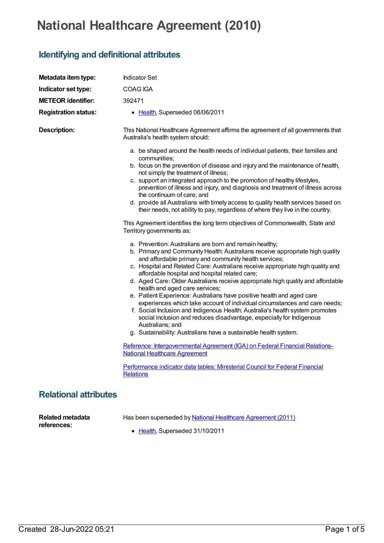## **National Healthcare Agreement (2010)**

## **Identifying and definitional attributes**

| Metadata item type:          | <b>Indicator Set</b>                                                                                                                                                                                                                                                                                                                                                                                                                                                                                                                                                                                                                                                                                                                                                                                                                                                                                                                                                                                                                                                                                                                                                                                                                                                                                                                                                                                                                                                                        |
|------------------------------|---------------------------------------------------------------------------------------------------------------------------------------------------------------------------------------------------------------------------------------------------------------------------------------------------------------------------------------------------------------------------------------------------------------------------------------------------------------------------------------------------------------------------------------------------------------------------------------------------------------------------------------------------------------------------------------------------------------------------------------------------------------------------------------------------------------------------------------------------------------------------------------------------------------------------------------------------------------------------------------------------------------------------------------------------------------------------------------------------------------------------------------------------------------------------------------------------------------------------------------------------------------------------------------------------------------------------------------------------------------------------------------------------------------------------------------------------------------------------------------------|
| Indicator set type:          | COAG IGA                                                                                                                                                                                                                                                                                                                                                                                                                                                                                                                                                                                                                                                                                                                                                                                                                                                                                                                                                                                                                                                                                                                                                                                                                                                                                                                                                                                                                                                                                    |
| <b>METEOR identifier:</b>    | 392471                                                                                                                                                                                                                                                                                                                                                                                                                                                                                                                                                                                                                                                                                                                                                                                                                                                                                                                                                                                                                                                                                                                                                                                                                                                                                                                                                                                                                                                                                      |
| <b>Registration status:</b>  | • Health, Superseded 08/06/2011                                                                                                                                                                                                                                                                                                                                                                                                                                                                                                                                                                                                                                                                                                                                                                                                                                                                                                                                                                                                                                                                                                                                                                                                                                                                                                                                                                                                                                                             |
| <b>Description:</b>          | This National Healthcare Agreement affirms the agreement of all governments that<br>Australia's health system should:                                                                                                                                                                                                                                                                                                                                                                                                                                                                                                                                                                                                                                                                                                                                                                                                                                                                                                                                                                                                                                                                                                                                                                                                                                                                                                                                                                       |
|                              | a. be shaped around the health needs of individual patients, their families and<br>communities;<br>b. focus on the prevention of disease and injury and the maintenance of health,<br>not simply the treatment of illness;<br>c. support an integrated approach to the promotion of healthy lifestyles,<br>prevention of illness and injury, and diagnosis and treatment of illness across<br>the continuum of care; and<br>d. provide all Australians with timely access to quality health services based on<br>their needs, not ability to pay, regardless of where they live in the country.<br>This Agreement identifies the long term objectives of Commonwealth, State and<br>Territory governments as:<br>a. Prevention: Australians are born and remain healthy;<br>b. Primary and Community Health: Australians receive appropriate high quality<br>and affordable primary and community health services;<br>c. Hospital and Related Care: Australians receive appropriate high quality and<br>affordable hospital and hospital related care;<br>d. Aged Care: Older Australians receive appropriate high quality and affordable<br>health and aged care services;<br>e. Patient Experience: Australians have positive health and aged care<br>experiences which take account of individual circumstances and care needs;<br>f. Social Inclusion and Indigenous Health: Australia's health system promotes<br>social inclusion and reduces disadvantage, especially for Indigenous |
|                              | Australians; and<br>g. Sustainability: Australians have a sustainable health system.                                                                                                                                                                                                                                                                                                                                                                                                                                                                                                                                                                                                                                                                                                                                                                                                                                                                                                                                                                                                                                                                                                                                                                                                                                                                                                                                                                                                        |
|                              | Reference: Intergovernmental Agreement (IGA) on Federal Financial Relations-<br><b>National Healthcare Agreement</b>                                                                                                                                                                                                                                                                                                                                                                                                                                                                                                                                                                                                                                                                                                                                                                                                                                                                                                                                                                                                                                                                                                                                                                                                                                                                                                                                                                        |
|                              | Performance indicator data tables: Ministerial Council for Federal Financial<br><b>Relations</b>                                                                                                                                                                                                                                                                                                                                                                                                                                                                                                                                                                                                                                                                                                                                                                                                                                                                                                                                                                                                                                                                                                                                                                                                                                                                                                                                                                                            |
| <b>Relational attributes</b> |                                                                                                                                                                                                                                                                                                                                                                                                                                                                                                                                                                                                                                                                                                                                                                                                                                                                                                                                                                                                                                                                                                                                                                                                                                                                                                                                                                                                                                                                                             |

**Related metadata references:**

Has been superseded by National Healthcare [Agreement](https://meteor.aihw.gov.au/content/423587) (2011)

• [Health](https://meteor.aihw.gov.au/RegistrationAuthority/12), Superseded 31/10/2011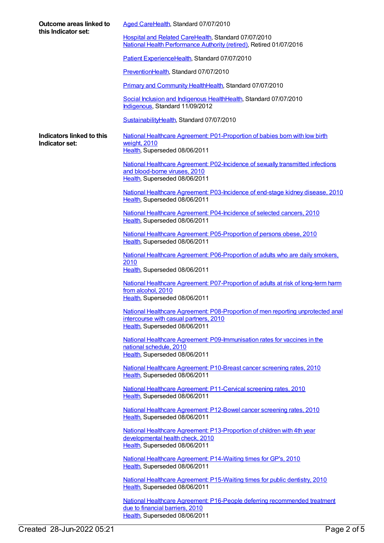| Outcome areas linked to<br>this Indicator set: | Aged CareHealth, Standard 07/07/2010                                                                                                                       |
|------------------------------------------------|------------------------------------------------------------------------------------------------------------------------------------------------------------|
|                                                | Hospital and Related CareHealth, Standard 07/07/2010<br>National Health Performance Authority (retired), Retired 01/07/2016                                |
|                                                | Patient ExperienceHealth, Standard 07/07/2010                                                                                                              |
|                                                | PreventionHealth, Standard 07/07/2010                                                                                                                      |
|                                                | Primary and Community HealthHealth, Standard 07/07/2010                                                                                                    |
|                                                | Social Inclusion and Indigenous HealthHealth, Standard 07/07/2010<br>Indigenous, Standard 11/09/2012                                                       |
|                                                | SustainabilityHealth, Standard 07/07/2010                                                                                                                  |
| Indicators linked to this<br>Indicator set:    | National Healthcare Agreement: P01-Proportion of babies born with low birth<br>weight, 2010<br>Health, Superseded 08/06/2011                               |
|                                                | National Healthcare Agreement: P02-Incidence of sexually transmitted infections<br>and blood-borne viruses, 2010<br>Health, Superseded 08/06/2011          |
|                                                | National Healthcare Agreement: P03-Incidence of end-stage kidney disease, 2010<br>Health, Superseded 08/06/2011                                            |
|                                                | National Healthcare Agreement: P04-Incidence of selected cancers, 2010<br>Health, Superseded 08/06/2011                                                    |
|                                                | National Healthcare Agreement: P05-Proportion of persons obese, 2010<br>Health, Superseded 08/06/2011                                                      |
|                                                | National Healthcare Agreement: P06-Proportion of adults who are daily smokers,<br>2010<br>Health, Superseded 08/06/2011                                    |
|                                                | National Healthcare Agreement: P07-Proportion of adults at risk of long-term harm<br>from alcohol, 2010<br>Health, Superseded 08/06/2011                   |
|                                                | National Healthcare Agreement: P08-Proportion of men reporting unprotected anal<br>intercourse with casual partners, 2010<br>Health, Superseded 08/06/2011 |
|                                                | National Healthcare Agreement: P09-Immunisation rates for vaccines in the<br>national schedule, 2010<br>Health, Superseded 08/06/2011                      |
|                                                | National Healthcare Agreement: P10-Breast cancer screening rates, 2010<br>Health, Superseded 08/06/2011                                                    |
|                                                | National Healthcare Agreement: P11-Cervical screening rates, 2010<br>Health, Superseded 08/06/2011                                                         |
|                                                | National Healthcare Agreement: P12-Bowel cancer screening rates, 2010<br>Health, Superseded 08/06/2011                                                     |
|                                                | National Healthcare Agreement: P13-Proportion of children with 4th year<br>developmental health check, 2010<br>Health, Superseded 08/06/2011               |
|                                                | National Healthcare Agreement: P14-Waiting times for GP's, 2010<br>Health, Superseded 08/06/2011                                                           |
|                                                | National Healthcare Agreement: P15-Waiting times for public dentistry, 2010<br>Health, Superseded 08/06/2011                                               |
|                                                | National Healthcare Agreement: P16-People deferring recommended treatment<br>due to financial barriers, 2010<br>Health, Superseded 08/06/2011              |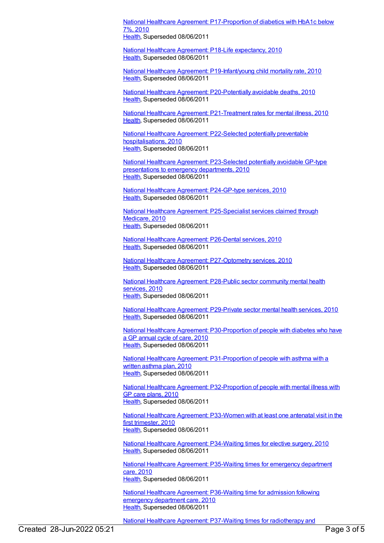National Healthcare Agreement: [P17-Proportion](https://meteor.aihw.gov.au/content/394441) of diabetics with HbA1c below 7%, 2010

[Health](https://meteor.aihw.gov.au/RegistrationAuthority/12), Superseded 08/06/2011

National Healthcare Agreement: P18-Life [expectancy,](https://meteor.aihw.gov.au/content/394445) 2010 [Health](https://meteor.aihw.gov.au/RegistrationAuthority/12), Superseded 08/06/2011

National Healthcare Agreement: [P19-Infant/young](https://meteor.aihw.gov.au/content/394462) child mortality rate, 2010 [Health](https://meteor.aihw.gov.au/RegistrationAuthority/12), Superseded 08/06/2011

National Healthcare Agreement: [P20-Potentially](https://meteor.aihw.gov.au/content/394495) avoidable deaths, 2010 [Health](https://meteor.aihw.gov.au/RegistrationAuthority/12), Superseded 08/06/2011

National Healthcare Agreement: [P21-Treatment](https://meteor.aihw.gov.au/content/394710) rates for mental illness, 2010 [Health](https://meteor.aihw.gov.au/RegistrationAuthority/12), Superseded 08/06/2011

National Healthcare Agreement: P22-Selected potentially preventable [hospitalisations,](https://meteor.aihw.gov.au/content/394719) 2010 [Health](https://meteor.aihw.gov.au/RegistrationAuthority/12), Superseded 08/06/2011

National Healthcare Agreement: [P23-Selected](https://meteor.aihw.gov.au/content/394721) potentially avoidable GP-type presentations to emergency departments, 2010 [Health](https://meteor.aihw.gov.au/RegistrationAuthority/12), Superseded 08/06/2011

National Healthcare Agreement: [P24-GP-type](https://meteor.aihw.gov.au/content/394776) services, 2010 [Health](https://meteor.aihw.gov.au/RegistrationAuthority/12), Superseded 08/06/2011

National Healthcare Agreement: [P25-Specialist](https://meteor.aihw.gov.au/content/394822) services claimed through Medicare, 2010 [Health](https://meteor.aihw.gov.au/RegistrationAuthority/12), Superseded 08/06/2011

National Healthcare [Agreement:](https://meteor.aihw.gov.au/content/394906) P26-Dental services, 2010 [Health](https://meteor.aihw.gov.au/RegistrationAuthority/12), Superseded 08/06/2011

National Healthcare Agreement: [P27-Optometry](https://meteor.aihw.gov.au/content/394928) services, 2010 [Health](https://meteor.aihw.gov.au/RegistrationAuthority/12), Superseded 08/06/2011

National Healthcare [Agreement:](https://meteor.aihw.gov.au/content/394946) P28-Public sector community mental health services, 2010 [Health](https://meteor.aihw.gov.au/RegistrationAuthority/12), Superseded 08/06/2011

National Healthcare Agreement: [P29-Private](https://meteor.aihw.gov.au/content/394959) sector mental health services, 2010 [Health](https://meteor.aihw.gov.au/RegistrationAuthority/12), Superseded 08/06/2011

National Healthcare Agreement: [P30-Proportion](https://meteor.aihw.gov.au/content/394962) of people with diabetes who have a GP annual cycle of care, 2010 [Health](https://meteor.aihw.gov.au/RegistrationAuthority/12), Superseded 08/06/2011

National Healthcare Agreement: [P31-Proportion](https://meteor.aihw.gov.au/content/394978) of people with asthma with a written asthma plan, 2010 [Health](https://meteor.aihw.gov.au/RegistrationAuthority/12), Superseded 08/06/2011

National Healthcare Agreement: [P32-Proportion](https://meteor.aihw.gov.au/content/394996) of people with mental illness with GP care plans, 2010 [Health](https://meteor.aihw.gov.au/RegistrationAuthority/12), Superseded 08/06/2011

National Healthcare Agreement: [P33-Women](https://meteor.aihw.gov.au/content/395008) with at least one antenatal visit in the first trimester, 2010 [Health](https://meteor.aihw.gov.au/RegistrationAuthority/12), Superseded 08/06/2011

National Healthcare Agreement: [P34-Waiting](https://meteor.aihw.gov.au/content/395010) times for elective surgery, 2010 [Health](https://meteor.aihw.gov.au/RegistrationAuthority/12), Superseded 08/06/2011

National Healthcare Agreement: [P35-Waiting](https://meteor.aihw.gov.au/content/395017) times for emergency department care, 2010 [Health](https://meteor.aihw.gov.au/RegistrationAuthority/12), Superseded 08/06/2011

National Healthcare Agreement: [P36-Waiting](https://meteor.aihw.gov.au/content/395019) time for admission following emergency department care, 2010 [Health](https://meteor.aihw.gov.au/RegistrationAuthority/12), Superseded 08/06/2011

National Healthcare Agreement: P37-Waiting times for [radiotherapy](https://meteor.aihw.gov.au/content/395064) and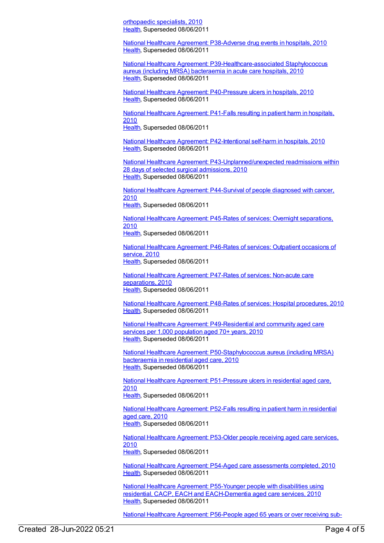orthopaedic specialists, 2010 [Health](https://meteor.aihw.gov.au/RegistrationAuthority/12), Superseded 08/06/2011

National Healthcare Agreement: [P38-Adverse](https://meteor.aihw.gov.au/content/395066) drug events in hospitals, 2010 [Health](https://meteor.aihw.gov.au/RegistrationAuthority/12), Superseded 08/06/2011

National Healthcare Agreement: [P39-Healthcare-associated](https://meteor.aihw.gov.au/content/395068) Staphylococcus aureus (including MRSA) bacteraemia in acute care hospitals, 2010 [Health](https://meteor.aihw.gov.au/RegistrationAuthority/12), Superseded 08/06/2011

National Healthcare Agreement: [P40-Pressure](https://meteor.aihw.gov.au/content/395073) ulcers in hospitals, 2010 [Health](https://meteor.aihw.gov.au/RegistrationAuthority/12), Superseded 08/06/2011

National Healthcare [Agreement:](https://meteor.aihw.gov.au/content/395076) P41-Falls resulting in patient harm in hospitals, 2010

[Health](https://meteor.aihw.gov.au/RegistrationAuthority/12), Superseded 08/06/2011

National Healthcare Agreement: [P42-Intentional](https://meteor.aihw.gov.au/content/395079) self-harm in hospitals, 2010 [Health](https://meteor.aihw.gov.au/RegistrationAuthority/12), Superseded 08/06/2011

National Healthcare Agreement: [P43-Unplanned/unexpected](https://meteor.aihw.gov.au/content/395081) readmissions within 28 days of selected surgical admissions, 2010 [Health](https://meteor.aihw.gov.au/RegistrationAuthority/12), Superseded 08/06/2011

National Healthcare Agreement: [P44-Survival](https://meteor.aihw.gov.au/content/395085) of people diagnosed with cancer, 2010

[Health](https://meteor.aihw.gov.au/RegistrationAuthority/12), Superseded 08/06/2011

National Healthcare Agreement: P45-Rates of services: Overnight [separations,](https://meteor.aihw.gov.au/content/395088) 2010 [Health](https://meteor.aihw.gov.au/RegistrationAuthority/12), Superseded 08/06/2011

National Healthcare [Agreement:](https://meteor.aihw.gov.au/content/395091) P46-Rates of services: Outpatient occasions of service, 2010 [Health](https://meteor.aihw.gov.au/RegistrationAuthority/12), Superseded 08/06/2011

National Healthcare [Agreement:](https://meteor.aihw.gov.au/content/395093) P47-Rates of services: Non-acute care separations, 2010 [Health](https://meteor.aihw.gov.au/RegistrationAuthority/12), Superseded 08/06/2011

National Healthcare Agreement: P48-Rates of services: Hospital [procedures,](https://meteor.aihw.gov.au/content/395095) 2010 [Health](https://meteor.aihw.gov.au/RegistrationAuthority/12), Superseded 08/06/2011

National Healthcare Agreement: [P49-Residential](https://meteor.aihw.gov.au/content/400206) and community aged care services per 1.000 population aged 70+ years, 2010 [Health](https://meteor.aihw.gov.au/RegistrationAuthority/12), Superseded 08/06/2011

National Healthcare Agreement: [P50-Staphylococcus](https://meteor.aihw.gov.au/content/400137) aureus (including MRSA) bacteraemia in residential aged care, 2010 [Health](https://meteor.aihw.gov.au/RegistrationAuthority/12), Superseded 08/06/2011

National Healthcare Agreement: [P51-Pressure](https://meteor.aihw.gov.au/content/400157) ulcers in residential aged care, 2010 [Health](https://meteor.aihw.gov.au/RegistrationAuthority/12), Superseded 08/06/2011

National Healthcare [Agreement:](https://meteor.aihw.gov.au/content/400209) P52-Falls resulting in patient harm in residential aged care, 2010 [Health](https://meteor.aihw.gov.au/RegistrationAuthority/12), Superseded 08/06/2011

National Healthcare [Agreement:](https://meteor.aihw.gov.au/content/400211) P53-Older people receiving aged care services, 2010 [Health](https://meteor.aihw.gov.au/RegistrationAuthority/12), Superseded 08/06/2011

National Healthcare Agreement: P54-Aged care [assessments](https://meteor.aihw.gov.au/content/400213) completed, 2010 [Health](https://meteor.aihw.gov.au/RegistrationAuthority/12), Superseded 08/06/2011

National Healthcare Agreement: P55-Younger people with disabilities using residential, CACP, EACH and [EACH-Dementia](https://meteor.aihw.gov.au/content/400216) aged care services, 2010 [Health](https://meteor.aihw.gov.au/RegistrationAuthority/12), Superseded 08/06/2011

National Healthcare Agreement: [P56-People](https://meteor.aihw.gov.au/content/400219) aged 65 years or over receiving sub-